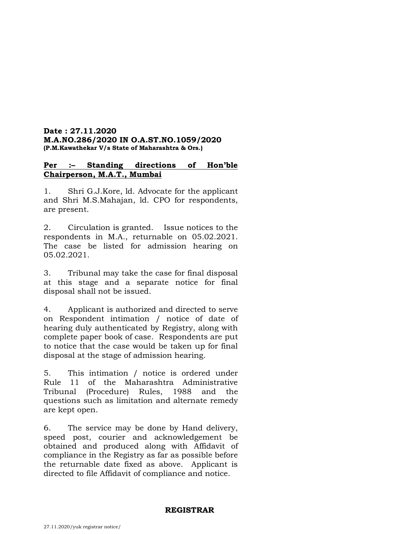## **Date : 27.11.2020 M.A.NO.286/2020 IN O.A.ST.NO.1059/2020 (P.M.Kawathekar V/s State of Maharashtra & Ors.)**

# **Per :– Standing directions of Hon'ble Chairperson, M.A.T., Mumbai**

1. Shri G.J.Kore, ld. Advocate for the applicant and Shri M.S.Mahajan, ld. CPO for respondents, are present.

2. Circulation is granted. Issue notices to the respondents in M.A., returnable on 05.02.2021. The case be listed for admission hearing on 05.02.2021.

3. Tribunal may take the case for final disposal at this stage and a separate notice for final disposal shall not be issued.

4. Applicant is authorized and directed to serve on Respondent intimation / notice of date of hearing duly authenticated by Registry, along with complete paper book of case. Respondents are put to notice that the case would be taken up for final disposal at the stage of admission hearing.

5. This intimation / notice is ordered under Rule 11 of the Maharashtra Administrative Tribunal (Procedure) Rules, 1988 and the questions such as limitation and alternate remedy are kept open.

6. The service may be done by Hand delivery, speed post, courier and acknowledgement be obtained and produced along with Affidavit of compliance in the Registry as far as possible before the returnable date fixed as above. Applicant is directed to file Affidavit of compliance and notice.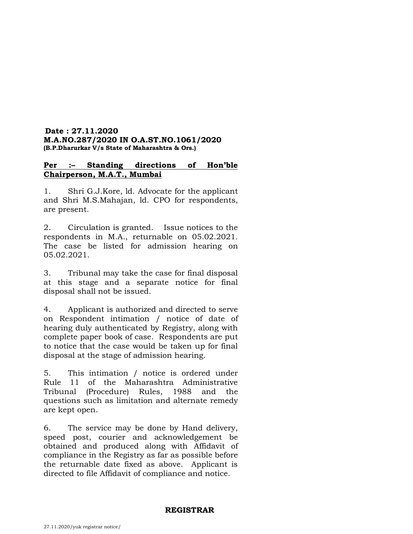## **Date : 27.11.2020 M.A.NO.287/2020 IN O.A.ST.NO.1061/2020 (B.P.Dharurkar V/s State of Maharashtra & Ors.)**

# **Per :– Standing directions of Hon'ble Chairperson, M.A.T., Mumbai**

1. Shri G.J.Kore, ld. Advocate for the applicant and Shri M.S.Mahajan, ld. CPO for respondents, are present.

2. Circulation is granted. Issue notices to the respondents in M.A., returnable on 05.02.2021. The case be listed for admission hearing on 05.02.2021.

3. Tribunal may take the case for final disposal at this stage and a separate notice for final disposal shall not be issued.

4. Applicant is authorized and directed to serve on Respondent intimation / notice of date of hearing duly authenticated by Registry, along with complete paper book of case. Respondents are put to notice that the case would be taken up for final disposal at the stage of admission hearing.

5. This intimation / notice is ordered under Rule 11 of the Maharashtra Administrative Tribunal (Procedure) Rules, 1988 and the questions such as limitation and alternate remedy are kept open.

6. The service may be done by Hand delivery, speed post, courier and acknowledgement be obtained and produced along with Affidavit of compliance in the Registry as far as possible before the returnable date fixed as above. Applicant is directed to file Affidavit of compliance and notice.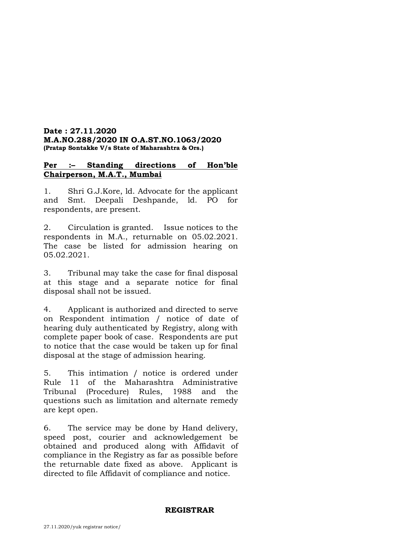## **Date : 27.11.2020 M.A.NO.288/2020 IN O.A.ST.NO.1063/2020 (Pratap Sontakke V/s State of Maharashtra & Ors.)**

# **Per :– Standing directions of Hon'ble Chairperson, M.A.T., Mumbai**

1. Shri G.J.Kore, ld. Advocate for the applicant and Smt. Deepali Deshpande, ld. PO for respondents, are present.

2. Circulation is granted. Issue notices to the respondents in M.A., returnable on 05.02.2021. The case be listed for admission hearing on 05.02.2021.

3. Tribunal may take the case for final disposal at this stage and a separate notice for final disposal shall not be issued.

4. Applicant is authorized and directed to serve on Respondent intimation / notice of date of hearing duly authenticated by Registry, along with complete paper book of case. Respondents are put to notice that the case would be taken up for final disposal at the stage of admission hearing.

5. This intimation / notice is ordered under Rule 11 of the Maharashtra Administrative Tribunal (Procedure) Rules, 1988 and the questions such as limitation and alternate remedy are kept open.

6. The service may be done by Hand delivery, speed post, courier and acknowledgement be obtained and produced along with Affidavit of compliance in the Registry as far as possible before the returnable date fixed as above. Applicant is directed to file Affidavit of compliance and notice.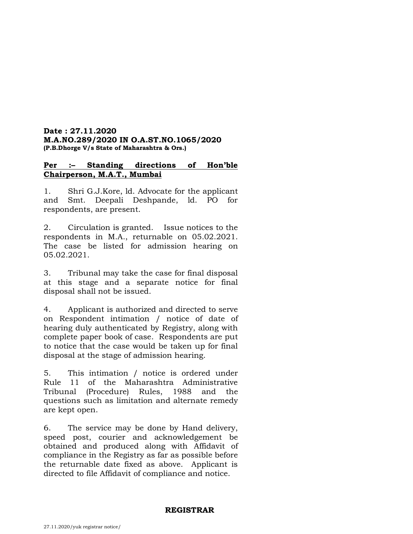## **Date : 27.11.2020 M.A.NO.289/2020 IN O.A.ST.NO.1065/2020 (P.B.Dhorge V/s State of Maharashtra & Ors.)**

# **Per :– Standing directions of Hon'ble Chairperson, M.A.T., Mumbai**

1. Shri G.J.Kore, ld. Advocate for the applicant and Smt. Deepali Deshpande, ld. PO for respondents, are present.

2. Circulation is granted. Issue notices to the respondents in M.A., returnable on 05.02.2021. The case be listed for admission hearing on 05.02.2021.

3. Tribunal may take the case for final disposal at this stage and a separate notice for final disposal shall not be issued.

4. Applicant is authorized and directed to serve on Respondent intimation / notice of date of hearing duly authenticated by Registry, along with complete paper book of case. Respondents are put to notice that the case would be taken up for final disposal at the stage of admission hearing.

5. This intimation / notice is ordered under Rule 11 of the Maharashtra Administrative Tribunal (Procedure) Rules, 1988 and the questions such as limitation and alternate remedy are kept open.

6. The service may be done by Hand delivery, speed post, courier and acknowledgement be obtained and produced along with Affidavit of compliance in the Registry as far as possible before the returnable date fixed as above. Applicant is directed to file Affidavit of compliance and notice.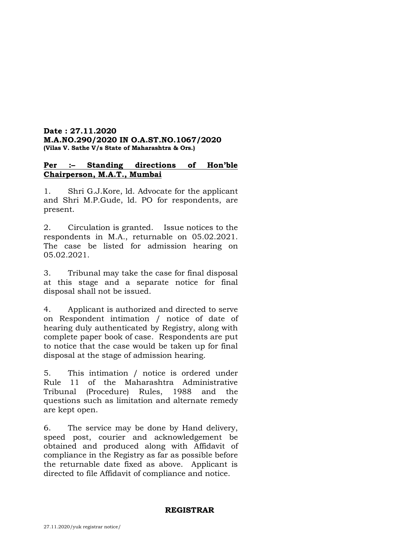## **Date : 27.11.2020 M.A.NO.290/2020 IN O.A.ST.NO.1067/2020 (Vilas V. Sathe V/s State of Maharashtra & Ors.)**

# **Per :– Standing directions of Hon'ble Chairperson, M.A.T., Mumbai**

1. Shri G.J.Kore, ld. Advocate for the applicant and Shri M.P.Gude, ld. PO for respondents, are present.

2. Circulation is granted. Issue notices to the respondents in M.A., returnable on 05.02.2021. The case be listed for admission hearing on 05.02.2021.

3. Tribunal may take the case for final disposal at this stage and a separate notice for final disposal shall not be issued.

4. Applicant is authorized and directed to serve on Respondent intimation / notice of date of hearing duly authenticated by Registry, along with complete paper book of case. Respondents are put to notice that the case would be taken up for final disposal at the stage of admission hearing.

5. This intimation / notice is ordered under Rule 11 of the Maharashtra Administrative Tribunal (Procedure) Rules, 1988 and the questions such as limitation and alternate remedy are kept open.

6. The service may be done by Hand delivery, speed post, courier and acknowledgement be obtained and produced along with Affidavit of compliance in the Registry as far as possible before the returnable date fixed as above. Applicant is directed to file Affidavit of compliance and notice.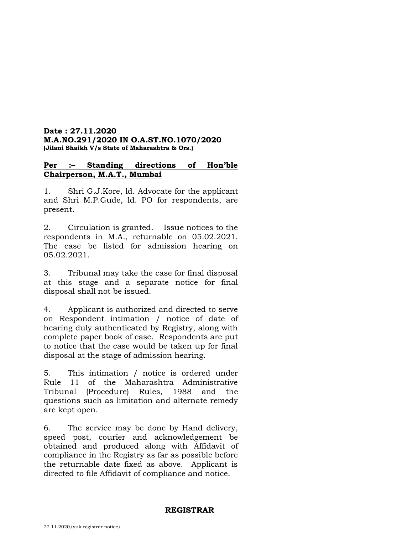## **Date : 27.11.2020 M.A.NO.291/2020 IN O.A.ST.NO.1070/2020 (Jilani Shaikh V/s State of Maharashtra & Ors.)**

# **Per :– Standing directions of Hon'ble Chairperson, M.A.T., Mumbai**

1. Shri G.J.Kore, ld. Advocate for the applicant and Shri M.P.Gude, ld. PO for respondents, are present.

2. Circulation is granted. Issue notices to the respondents in M.A., returnable on 05.02.2021. The case be listed for admission hearing on 05.02.2021.

3. Tribunal may take the case for final disposal at this stage and a separate notice for final disposal shall not be issued.

4. Applicant is authorized and directed to serve on Respondent intimation / notice of date of hearing duly authenticated by Registry, along with complete paper book of case. Respondents are put to notice that the case would be taken up for final disposal at the stage of admission hearing.

5. This intimation / notice is ordered under Rule 11 of the Maharashtra Administrative Tribunal (Procedure) Rules, 1988 and the questions such as limitation and alternate remedy are kept open.

6. The service may be done by Hand delivery, speed post, courier and acknowledgement be obtained and produced along with Affidavit of compliance in the Registry as far as possible before the returnable date fixed as above. Applicant is directed to file Affidavit of compliance and notice.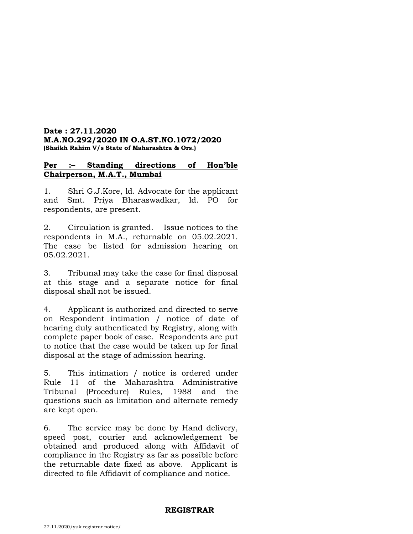## **Date : 27.11.2020 M.A.NO.292/2020 IN O.A.ST.NO.1072/2020 (Shaikh Rahim V/s State of Maharashtra & Ors.)**

# **Per :– Standing directions of Hon'ble Chairperson, M.A.T., Mumbai**

1. Shri G.J.Kore, ld. Advocate for the applicant and Smt. Priya Bharaswadkar, ld. PO for respondents, are present.

2. Circulation is granted. Issue notices to the respondents in M.A., returnable on 05.02.2021. The case be listed for admission hearing on 05.02.2021.

3. Tribunal may take the case for final disposal at this stage and a separate notice for final disposal shall not be issued.

4. Applicant is authorized and directed to serve on Respondent intimation / notice of date of hearing duly authenticated by Registry, along with complete paper book of case. Respondents are put to notice that the case would be taken up for final disposal at the stage of admission hearing.

5. This intimation / notice is ordered under Rule 11 of the Maharashtra Administrative Tribunal (Procedure) Rules, 1988 and the questions such as limitation and alternate remedy are kept open.

6. The service may be done by Hand delivery, speed post, courier and acknowledgement be obtained and produced along with Affidavit of compliance in the Registry as far as possible before the returnable date fixed as above. Applicant is directed to file Affidavit of compliance and notice.